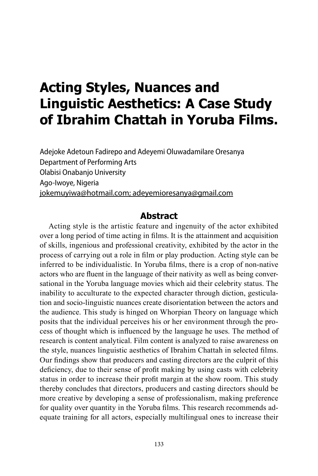# **Acting Styles, Nuances and Linguistic Aesthetics: A Case Study of Ibrahim Chattah in Yoruba Films.**

Adejoke Adetoun Fadirepo and Adeyemi Oluwadamilare Oresanya Department of Performing Arts Olabisi Onabanjo University Ago-Iwoye, Nigeria jokemuyiwa@hotmail.com; adeyemioresanya@gmail.com

### **Abstract**

Acting style is the artistic feature and ingenuity of the actor exhibited over a long period of time acting in films. It is the attainment and acquisition of skills, ingenious and professional creativity, exhibited by the actor in the process of carrying out a role in film or play production. Acting style can be inferred to be individualistic. In Yoruba films, there is a crop of non-native actors who are fluent in the language of their nativity as well as being conversational in the Yoruba language movies which aid their celebrity status. The inability to acculturate to the expected character through diction, gesticulation and socio-linguistic nuances create disorientation between the actors and the audience. This study is hinged on Whorpian Theory on language which posits that the individual perceives his or her environment through the process of thought which is influenced by the language he uses. The method of research is content analytical. Film content is analyzed to raise awareness on the style, nuances linguistic aesthetics of Ibrahim Chattah in selected films. Our findings show that producers and casting directors are the culprit of this deficiency, due to their sense of profit making by using casts with celebrity status in order to increase their profit margin at the show room. This study thereby concludes that directors, producers and casting directors should be more creative by developing a sense of professionalism, making preference for quality over quantity in the Yoruba films. This research recommends adequate training for all actors, especially multilingual ones to increase their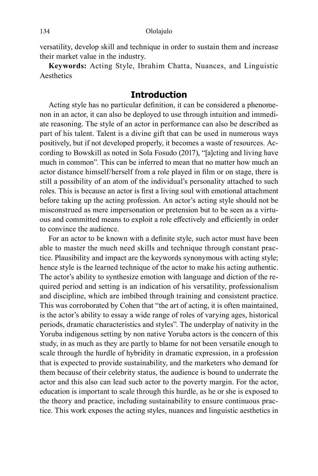versatility, develop skill and technique in order to sustain them and increase their market value in the industry.

**Keywords:** Acting Style, Ibrahim Chatta, Nuances, and Linguistic Aesthetics

# **Introduction**

Acting style has no particular definition, it can be considered a phenomenon in an actor, it can also be deployed to use through intuition and immediate reasoning. The style of an actor in performance can also be described as part of his talent. Talent is a divine gift that can be used in numerous ways positively, but if not developed properly, it becomes a waste of resources. According to Bowskill as noted in Sola Fosudo (2017), "[a]cting and living have much in common". This can be inferred to mean that no matter how much an actor distance himself/herself from a role played in film or on stage, there is still a possibility of an atom of the individual's personality attached to such roles. This is because an actor is first a living soul with emotional attachment before taking up the acting profession. An actor's acting style should not be misconstrued as mere impersonation or pretension but to be seen as a virtuous and committed means to exploit a role effectively and efficiently in order to convince the audience.

For an actor to be known with a definite style, such actor must have been able to master the much need skills and technique through constant practice. Plausibility and impact are the keywords synonymous with acting style; hence style is the learned technique of the actor to make his acting authentic. The actor's ability to synthesize emotion with language and diction of the required period and setting is an indication of his versatility, professionalism and discipline, which are imbibed through training and consistent practice. This was corroborated by Cohen that "the art of acting, it is often maintained, is the actor's ability to essay a wide range of roles of varying ages, historical periods, dramatic characteristics and styles". The underplay of nativity in the Yoruba indigenous setting by non native Yoruba actors is the concern of this study, in as much as they are partly to blame for not been versatile enough to scale through the hurdle of hybridity in dramatic expression, in a profession that is expected to provide sustainability, and the marketers who demand for them because of their celebrity status, the audience is bound to underrate the actor and this also can lead such actor to the poverty margin. For the actor, education is important to scale through this hurdle, as he or she is exposed to the theory and practice, including sustainability to ensure continuous practice. This work exposes the acting styles, nuances and linguistic aesthetics in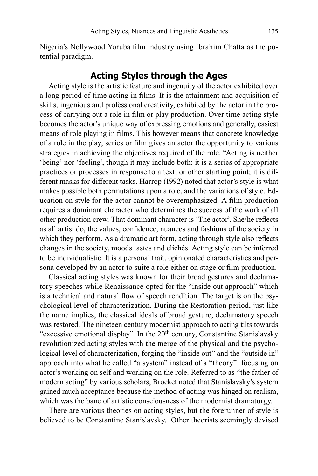Nigeria's Nollywood Yoruba film industry using Ibrahim Chatta as the potential paradigm.

## **Acting Styles through the Ages**

Acting style is the artistic feature and ingenuity of the actor exhibited over a long period of time acting in films. It is the attainment and acquisition of skills, ingenious and professional creativity, exhibited by the actor in the process of carrying out a role in film or play production. Over time acting style becomes the actor's unique way of expressing emotions and generally, easiest means of role playing in films. This however means that concrete knowledge of a role in the play, series or film gives an actor the opportunity to various strategies in achieving the objectives required of the role. "Acting is neither 'being' nor 'feeling', though it may include both: it is a series of appropriate practices or processes in response to a text, or other starting point; it is different masks for different tasks. Harrop (1992) noted that actor's style is what makes possible both permutations upon a role, and the variations of style. Education on style for the actor cannot be overemphasized. A film production requires a dominant character who determines the success of the work of all other production crew. That dominant character is 'The actor'. She/he reflects as all artist do, the values, confidence, nuances and fashions of the society in which they perform. As a dramatic art form, acting through style also reflects changes in the society, moods tastes and clichés. Acting style can be inferred to be individualistic. It is a personal trait, opinionated characteristics and persona developed by an actor to suite a role either on stage or film production.

Classical acting styles was known for their broad gestures and declamatory speeches while Renaissance opted for the "inside out approach" which is a technical and natural flow of speech rendition. The target is on the psychological level of characterization. During the Restoration period, just like the name implies, the classical ideals of broad gesture, declamatory speech was restored. The nineteen century modernist approach to acting tilts towards "excessive emotional display". In the 20<sup>th</sup> century, Constantine Stanislavsky revolutionized acting styles with the merge of the physical and the psychological level of characterization, forging the "inside out" and the "outside in" approach into what he called "a system" instead of a "theory" focusing on actor's working on self and working on the role. Referred to as "the father of modern acting" by various scholars, Brocket noted that Stanislavsky's system gained much acceptance because the method of acting was hinged on realism, which was the bane of artistic consciousness of the modernist dramaturgy.

There are various theories on acting styles, but the forerunner of style is believed to be Constantine Stanislavsky. Other theorists seemingly devised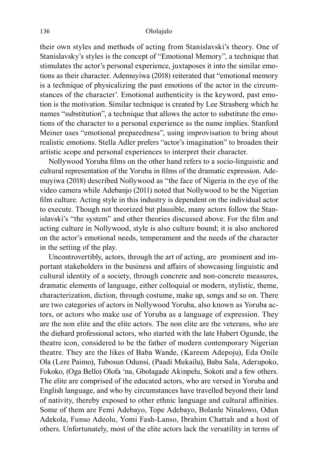their own styles and methods of acting from Stanislavski's theory. One of Stanislavsky's styles is the concept of "Emotional Memory", a technique that stimulates the actor's personal experience, juxtaposes it into the similar emotions as their character. Ademuyiwa (2018) reiterated that "emotional memory is a technique of physicalizing the past emotions of the actor in the circumstances of the character'. Emotional authenticity is the keyword, past emotion is the motivation. Similar technique is created by Lee Strasberg which he names "substitution", a technique that allows the actor to substitute the emotions of the character to a personal experience as the name implies. Stanford Meiner uses "emotional preparedness", using improvisation to bring about realistic emotions. Stella Adler prefers "actor's imagination" to broaden their artistic scope and personal experiences to interpret their character.

Nollywood Yoruba films on the other hand refers to a socio-linguistic and cultural representation of the Yoruba in films of the dramatic expression. Ademuyiwa (2018) described Nollywood as "the face of Nigeria in the eye of the video camera while Adebanjo (2011) noted that Nollywood to be the Nigerian film culture. Acting style in this industry is dependent on the individual actor to execute. Though not theorized but plausible, many actors follow the Stanislavski's "the system" and other theories discussed above. For the film and acting culture in Nollywood, style is also culture bound; it is also anchored on the actor's emotional needs, temperament and the needs of the character in the setting of the play.

Uncontrovertibly, actors, through the art of acting, are prominent and important stakeholders in the business and affairs of showcasing linguistic and cultural identity of a society, through concrete and non-concrete measures, dramatic elements of language, either colloquial or modern, stylistic, theme, characterization, diction, through costume, make up, songs and so on. There are two categories of actors in Nollywood Yoruba, also known as Yoruba actors, or actors who make use of Yoruba as a language of expression. They are the non elite and the elite actors. The non elite are the veterans, who are the diehard professional actors, who started with the late Hubert Ogunde, the theatre icon, considered to be the father of modern contemporary Nigerian theatre. They are the likes of Baba Wande, (Kareem Adepoju), Eda Onile Ola (Lere Paimo), Tubosun Odunsi, (Paadi Mukailu), Baba Sala, Aderupoko, Fokoko, (Oga Bello) Olofa 'na, Gbolagade Akinpelu, Sokoti and a few others. The elite are comprised of the educated actors, who are versed in Yoruba and English language, and who by circumstances have travelled beyond their land of nativity, thereby exposed to other ethnic language and cultural affinities. Some of them are Femi Adebayo, Tope Adebayo, Bolanle Ninalowo, Odun Adekola, Funso Adeolu, Yomi Fash-Lanso, Ibrahim Chattah and a host of others. Unfortunately, most of the elite actors lack the versatility in terms of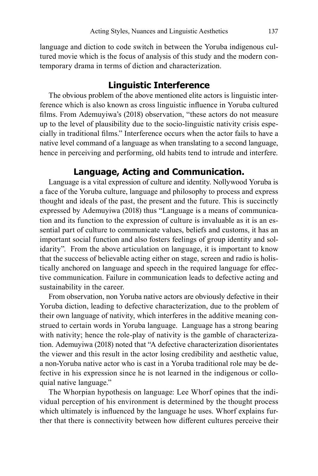language and diction to code switch in between the Yoruba indigenous cultured movie which is the focus of analysis of this study and the modern contemporary drama in terms of diction and characterization.

# **Linguistic Interference**

The obvious problem of the above mentioned elite actors is linguistic interference which is also known as cross linguistic influence in Yoruba cultured films. From Ademuyiwa's (2018) observation, "these actors do not measure up to the level of plausibility due to the socio-linguistic nativity crisis especially in traditional films." Interference occurs when the actor fails to have a native level command of a language as when translating to a second language, hence in perceiving and performing, old habits tend to intrude and interfere.

### **Language, Acting and Communication.**

Language is a vital expression of culture and identity. Nollywood Yoruba is a face of the Yoruba culture, language and philosophy to process and express thought and ideals of the past, the present and the future. This is succinctly expressed by Ademuyiwa (2018) thus "Language is a means of communication and its function to the expression of culture is invaluable as it is an essential part of culture to communicate values, beliefs and customs, it has an important social function and also fosters feelings of group identity and solidarity". From the above articulation on language, it is important to know that the success of believable acting either on stage, screen and radio is holistically anchored on language and speech in the required language for effective communication. Failure in communication leads to defective acting and sustainability in the career.

From observation, non Yoruba native actors are obviously defective in their Yoruba diction, leading to defective characterization, due to the problem of their own language of nativity, which interferes in the additive meaning construed to certain words in Yoruba language. Language has a strong bearing with nativity; hence the role-play of nativity is the gamble of characterization. Ademuyiwa (2018) noted that "A defective characterization disorientates the viewer and this result in the actor losing credibility and aesthetic value, a non-Yoruba native actor who is cast in a Yoruba traditional role may be defective in his expression since he is not learned in the indigenous or colloquial native language."

The Whorpian hypothesis on language: Lee Whorf opines that the individual perception of his environment is determined by the thought process which ultimately is influenced by the language he uses. Whorf explains further that there is connectivity between how different cultures perceive their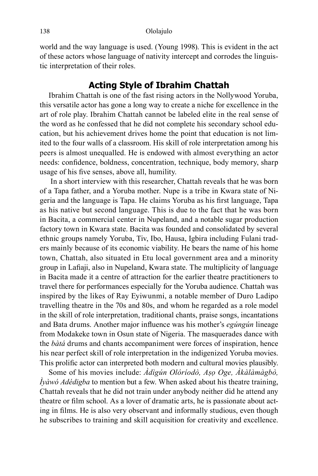world and the way language is used. (Young 1998). This is evident in the act of these actors whose language of nativity intercept and corrodes the linguistic interpretation of their roles.

### **Acting Style of Ibrahim Chattah**

Ibrahim Chattah is one of the fast rising actors in the Nollywood Yoruba, this versatile actor has gone a long way to create a niche for excellence in the art of role play. Ibrahim Chattah cannot be labeled elite in the real sense of the word as he confessed that he did not complete his secondary school education, but his achievement drives home the point that education is not limited to the four walls of a classroom. His skill of role interpretation among his peers is almost unequalled. He is endowed with almost everything an actor needs: confidence, boldness, concentration, technique, body memory, sharp usage of his five senses, above all, humility.

 In a short interview with this researcher, Chattah reveals that he was born of a Tapa father, and a Yoruba mother. Nupe is a tribe in Kwara state of Nigeria and the language is Tapa. He claims Yoruba as his first language, Tapa as his native but second language. This is due to the fact that he was born in Bacita, a commercial center in Nupeland, and a notable sugar production factory town in Kwara state. Bacita was founded and consolidated by several ethnic groups namely Yoruba, Tiv, Ibo, Hausa, Igbira including Fulani traders mainly because of its economic viability. He bears the name of his home town, Chattah, also situated in Etu local government area and a minority group in Lafiaji, also in Nupeland, Kwara state. The multiplicity of language in Bacita made it a centre of attraction for the earlier theatre practitioners to travel there for performances especially for the Yoruba audience. Chattah was inspired by the likes of Ray Eyiwunmi, a notable member of Duro Ladipo travelling theatre in the 70s and 80s, and whom he regarded as a role model in the skill of role interpretation, traditional chants, praise songs, incantations and Bata drums. Another major influence was his mother's *egúngún* lineage from Modakeke town in Osun state of Nigeria. The masquerades dance with the *bàtá* drums and chants accompaniment were forces of inspiration, hence his near perfect skill of role interpretation in the indigenized Yoruba movies. This prolific actor can interpreted both modern and cultural movies plausibly.

Some of his movies include: *Àdìgún Olóríodò, Aṣọ Oge, Àkàlàmàgbò, Ìyàwó Adédigba* to mention but a few. When asked about his theatre training, Chattah reveals that he did not train under anybody neither did he attend any theatre or film school. As a lover of dramatic arts, he is passionate about acting in films. He is also very observant and informally studious, even though he subscribes to training and skill acquisition for creativity and excellence.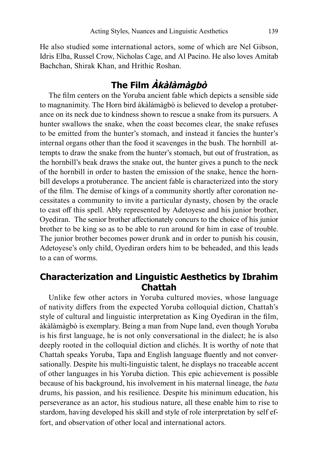He also studied some international actors, some of which are Nel Gibson, Idris Elba, Russel Crow, Nicholas Cage, and Al Pacino. He also loves Amitab Bachchan, Shirak Khan, and Hrithic Roshan.

# **The Film Àkàlàmàgbò**

The film centers on the Yoruba ancient fable which depicts a sensible side to magnanimity. The Horn bird àkàlàmàgbò is believed to develop a protuberance on its neck due to kindness shown to rescue a snake from its pursuers. A hunter swallows the snake, when the coast becomes clear, the snake refuses to be emitted from the hunter's stomach, and instead it fancies the hunter's internal organs other than the food it scavenges in the bush. The hornbill attempts to draw the snake from the hunter's stomach, but out of frustration, as the hornbill's beak draws the snake out, the hunter gives a punch to the neck of the hornbill in order to hasten the emission of the snake, hence the hornbill develops a protuberance. The ancient fable is characterized into the story of the film. The demise of kings of a community shortly after coronation necessitates a community to invite a particular dynasty, chosen by the oracle to cast off this spell. Ably represented by Adetoyese and his junior brother, Oyediran. The senior brother affectionately concurs to the choice of his junior brother to be king so as to be able to run around for him in case of trouble. The junior brother becomes power drunk and in order to punish his cousin, Adetoyese's only child, Oyediran orders him to be beheaded, and this leads to a can of worms.

# **Characterization and Linguistic Aesthetics by Ibrahim Chattah**

Unlike few other actors in Yoruba cultured movies, whose language of nativity differs from the expected Yoruba colloquial diction, Chattah's style of cultural and linguistic interpretation as King Oyediran in the film, àkàlàmàgbò is exemplary. Being a man from Nupe land, even though Yoruba is his first language, he is not only conversational in the dialect; he is also deeply rooted in the colloquial diction and clichés. It is worthy of note that Chattah speaks Yoruba, Tapa and English language fluently and not conversationally. Despite his multi-linguistic talent, he displays no traceable accent of other languages in his Yoruba diction. This epic achievement is possible because of his background, his involvement in his maternal lineage, the *bata* drums, his passion, and his resilience. Despite his minimum education, his perseverance as an actor, his studious nature, all these enable him to rise to stardom, having developed his skill and style of role interpretation by self effort, and observation of other local and international actors.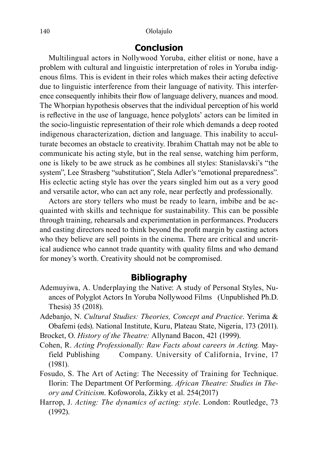#### 140 Ololajulo

#### **Conclusion**

Multilingual actors in Nollywood Yoruba, either elitist or none, have a problem with cultural and linguistic interpretation of roles in Yoruba indigenous films. This is evident in their roles which makes their acting defective due to linguistic interference from their language of nativity. This interference consequently inhibits their flow of language delivery, nuances and mood. The Whorpian hypothesis observes that the individual perception of his world is reflective in the use of language, hence polyglots' actors can be limited in the socio-linguistic representation of their role which demands a deep rooted indigenous characterization, diction and language. This inability to acculturate becomes an obstacle to creativity. Ibrahim Chattah may not be able to communicate his acting style, but in the real sense, watching him perform, one is likely to be awe struck as he combines all styles: Stanislavski's "the system", Lee Strasberg "substitution", Stela Adler's "emotional preparedness". His eclectic acting style has over the years singled him out as a very good and versatile actor, who can act any role, near perfectly and professionally.

Actors are story tellers who must be ready to learn, imbibe and be acquainted with skills and technique for sustainability. This can be possible through training, rehearsals and experimentation in performances. Producers and casting directors need to think beyond the profit margin by casting actors who they believe are sell points in the cinema. There are critical and uncritical audience who cannot trade quantity with quality films and who demand for money's worth. Creativity should not be compromised.

#### **Bibliography**

- Ademuyiwa, A. Underplaying the Native: A study of Personal Styles, Nuances of Polyglot Actors In Yoruba Nollywood Films (Unpublished Ph.D. Thesis) 35 (2018).
- Adebanjo, N. *Cultural Studies: Theories, Concept and Practice*. Yerima & Obafemi (eds). National Institute, Kuru, Plateau State, Nigeria, 173 (2011).

Brocket, O. *History of the Theatre:* Allynand Bacon, 421 (1999).

- Cohen, R. *Acting Professionally: Raw Facts about careers in Acting.* Mayfield Publishing Company. University of California, Irvine, 17 (1981).
- Fosudo, S. The Art of Acting: The Necessity of Training for Technique. Ilorin: The Department Of Performing. *African Theatre: Studies in Theory and Criticism*. Kofoworola, Zikky et al. 254(2017)
- Harrop, J. *Acting: The dynamics of acting: style*. London: Routledge, 73 (1992).